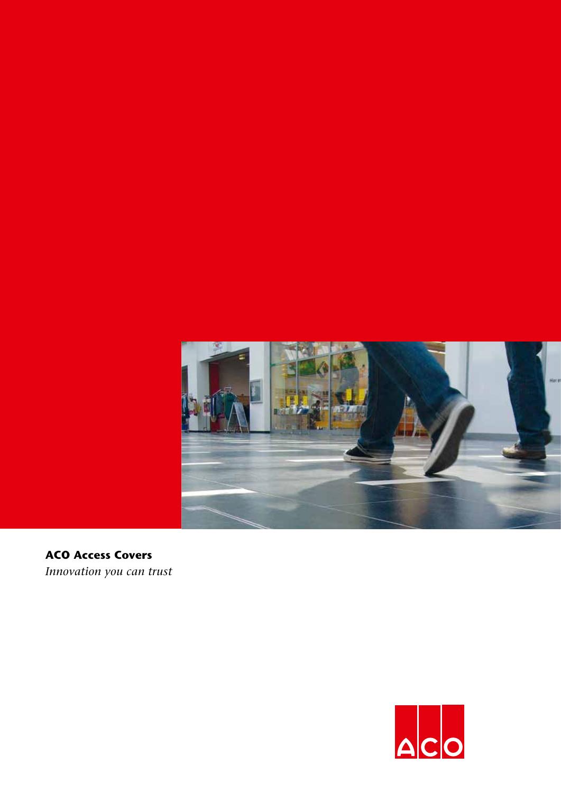

**ACO Access Covers**  *Innovation you can trust* 

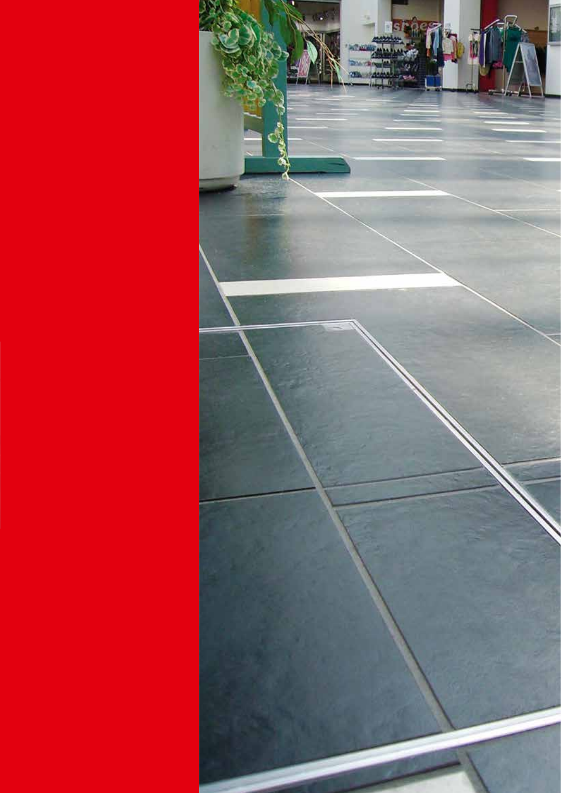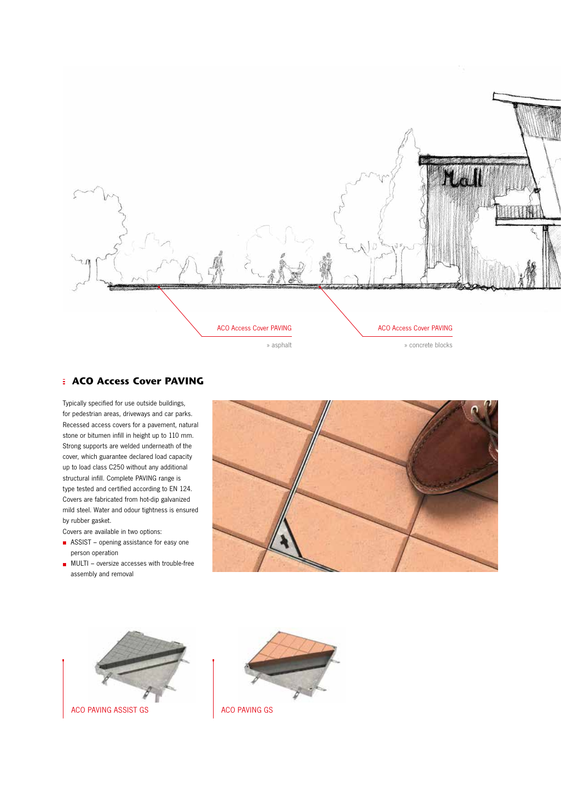

# **E** ACO Access Cover PAVING

Typically specified for use outside buildings, for pedestrian areas, driveways and car parks. Recessed access covers for a pavement, natural stone or bitumen infill in height up to 110 mm. Strong supports are welded underneath of the cover, which guarantee declared load capacity up to load class C250 without any additional structural infill. Complete PAVING range is type tested and certified according to EN 124. Covers are fabricated from hot-dip galvanized mild steel. Water and odour tightness is ensured by rubber gasket.

Covers are available in two options:

- ASSIST opening assistance for easy one person operation
- $\blacksquare$  MULTI oversize accesses with trouble-free assembly and removal





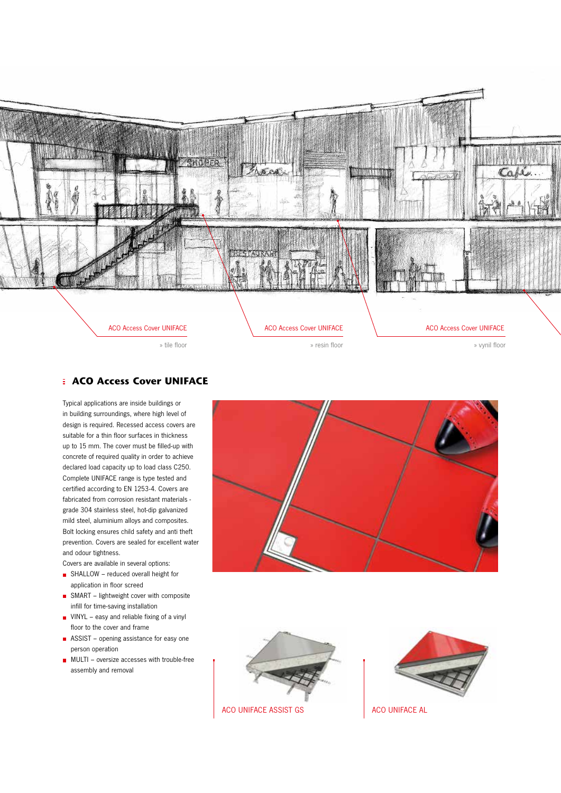

# **E** ACO Access Cover UNIFACE

Typical applications are inside buildings or in building surroundings, where high level of design is required. Recessed access covers are suitable for a thin floor surfaces in thickness up to 15 mm. The cover must be filled-up with concrete of required quality in order to achieve declared load capacity up to load class C250. Complete UNIFACE range is type tested and certified according to EN 1253-4. Covers are fabricated from corrosion resistant materials grade 304 stainless steel, hot-dip galvanized mild steel, aluminium alloys and composites. Bolt locking ensures child safety and anti theft prevention. Covers are sealed for excellent water and odour tightness.

Covers are available in several options:

- SHALLOW reduced overall height for application in floor screed
- $\blacksquare$  SMART lightweight cover with composite infill for time-saving installation
- $\blacksquare$  VINYL easy and reliable fixing of a vinyl floor to the cover and frame
- ASSIST opening assistance for easy one person operation
- $\blacksquare$  MULTI oversize accesses with trouble-free assembly and removal





ACO UNIFACE ASSIST GS ACO UNIFACE AL

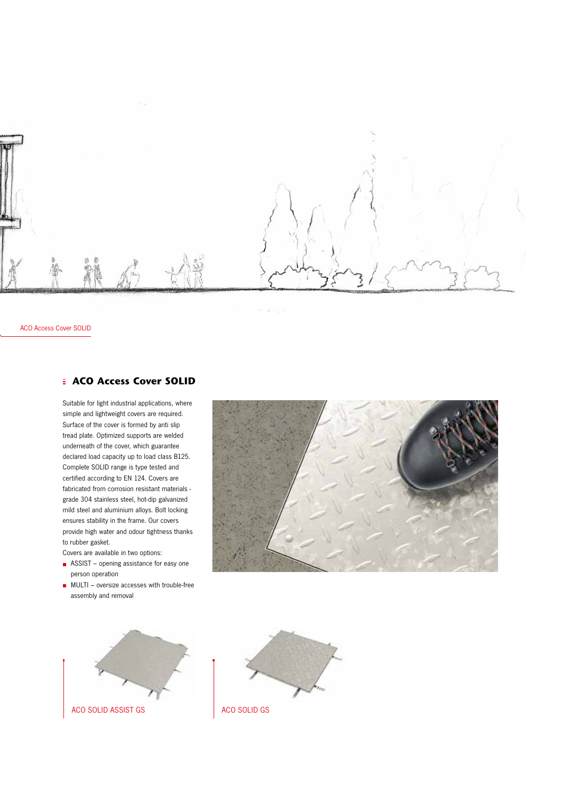

ACO Access Cover SOLID

# **E** ACO Access Cover SOLID

Suitable for light industrial applications, where simple and lightweight covers are required. Surface of the cover is formed by anti slip tread plate. Optimized supports are welded underneath of the cover, which guarantee declared load capacity up to load class B125. Complete SOLID range is type tested and certified according to EN 124. Covers are fabricated from corrosion resistant materials grade 304 stainless steel, hot-dip galvanized mild steel and aluminium alloys. Bolt locking ensures stability in the frame. Our covers provide high water and odour tightness thanks to rubber gasket.

Covers are available in two options:

- ASSIST opening assistance for easy one person operation
- **MULTI** oversize accesses with trouble-free assembly and removal



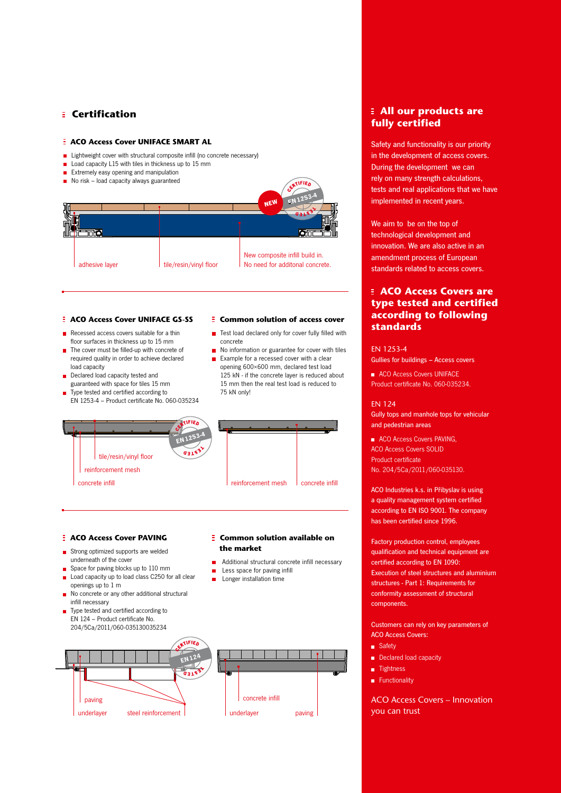#### **E ACO Access Cover UNIFACE SMART AL**

- **E** Lightweight cover with structural composite infill (no concrete necessary)
- Load capacity L15 with tiles in thickness up to 15 mm
- Extremely easy opening and manipulation
- No risk load capacity always guaranteed



## **E** ACO Access Cover UNIFACE GS-SS

- Recessed access covers suitable for a thin floor surfaces in thickness up to 15 mm
- The cover must be filled-up with concrete of required quality in order to achieve declared load capacity
- Declared load capacity tested and guaranteed with space for tiles 15 mm
- Type tested and certified according to EN 1253-4 – Product certificate No. 060-035234

#### **Common solution of access cover**

- Test load declared only for cover fully filled with concrete
- No information or guarantee for cover with tiles
- Example for a recessed cover with a clear opening 600×600 mm, declared test load 125 kN - if the concrete layer is reduced about 15 mm then the real test load is reduced to 75 kN only!



## **E** ACO Access Cover PAVING

- Strong optimized supports are welded underneath of the cover
- Space for paving blocks up to 110 mm
- Load capacity up to load class C250 for all clear openings up to 1 m
- No concrete or any other additional structural infill necessary
- Type tested and certified according to EN 124 – Product certificate No. 204/5Ca/2011/060-035130035234

## **Common solution available on the market**

- Additional structural concrete infill necessary  $\blacksquare$
- Less space for paving infill
- Longer installation time



## **Example 2 Certification Certification All our products are fully certified**

Safety and functionality is our priority in the development of access covers. During the development we can rely on many strength calculations, tests and real applications that we have implemented in recent years.

We aim to be on the top of technological development and innovation. We are also active in an amendment process of European standards related to access covers.

## **E ACO Access Covers are type tested and certified according to following standards**

#### EN 1253-4

Gullies for buildings – Access covers

**ACO Access Covers UNIFACE** Product certificate No. 060-035234.

## EN 124

Gully tops and manhole tops for vehicular and pedestrian areas

ACO Access Covers PAVING, ACO Access Covers SOLID Product certificate No. 204/5Ca/2011/060-035130.

ACO Industries k.s. in Přibyslav is using a quality management system certified according to EN ISO 9001. The company has been certified since 1996.

Factory production control, employees qualification and technical equipment are certified according to EN 1090: Execution of steel structures and aluminium structures - Part 1: Requirements for conformity assessment of structural components.

Customers can rely on key parameters of ACO Access Covers:

- **Safety**
- Declared load capacity
- Tightness
- **Functionality**

ACO Access Covers – Innovation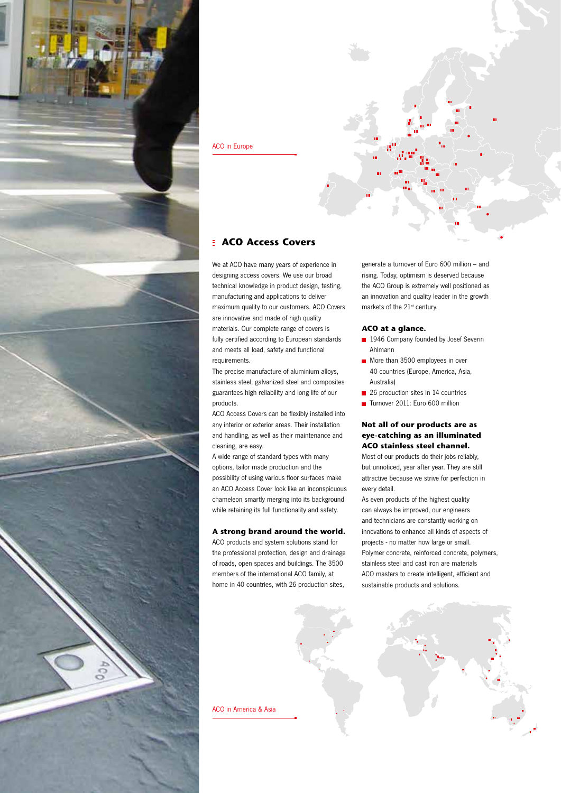

ACO in Europe

# **E ACO Access Covers**

We at ACO have many years of experience in designing access covers. We use our broad technical knowledge in product design, testing, manufacturing and applications to deliver maximum quality to our customers. ACO Covers are innovative and made of high quality materials. Our complete range of covers is fully certified according to European standards and meets all load, safety and functional requirements.

The precise manufacture of aluminium alloys, stainless steel, galvanized steel and composites guarantees high reliability and long life of our products.

ACO Access Covers can be flexibly installed into any interior or exterior areas. Their installation and handling, as well as their maintenance and cleaning, are easy.

A wide range of standard types with many options, tailor made production and the possibility of using various floor surfaces make an ACO Access Cover look like an inconspicuous chameleon smartly merging into its background while retaining its full functionality and safety.

## **A strong brand around the world.**

ACO products and system solutions stand for the professional protection, design and drainage of roads, open spaces and buildings. The 3500 members of the international ACO family, at home in 40 countries, with 26 production sites,

generate a turnover of Euro 600 million – and rising. Today, optimism is deserved because the ACO Group is extremely well positioned as an innovation and quality leader in the growth markets of the 21<sup>st</sup> century.

## **ACO at a glance.**

- 1946 Company founded by Josef Severin Ahlmann
- More than 3500 employees in over 40 countries (Europe, America, Asia, Australia)
- 26 production sites in 14 countries
- Turnover 2011: Euro 600 million

## **Not all of our products are as eye-catching as an illuminated ACO stainless steel channel.**

Most of our products do their jobs reliably, but unnoticed, year after year. They are still attractive because we strive for perfection in every detail.

As even products of the highest quality can always be improved, our engineers and technicians are constantly working on innovations to enhance all kinds of aspects of projects - no matter how large or small. Polymer concrete, reinforced concrete, polymers, stainless steel and cast iron are materials ACO masters to create intelligent, efficient and sustainable products and solutions.



ACO in America & Asia